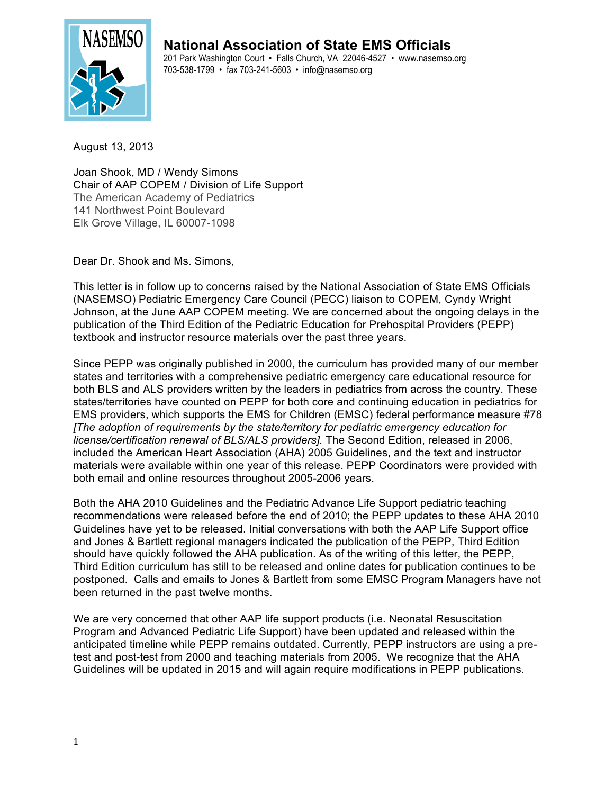

**National Association of State EMS Officials** 201 Park Washington Court • Falls Church, VA 22046-4527 • www.nasemso.org

703-538-1799 • fax 703-241-5603 • info@nasemso.org

August 13, 2013

Joan Shook, MD / Wendy Simons Chair of AAP COPEM / Division of Life Support The American Academy of Pediatrics 141 Northwest Point Boulevard Elk Grove Village, IL 60007-1098

Dear Dr. Shook and Ms. Simons,

This letter is in follow up to concerns raised by the National Association of State EMS Officials (NASEMSO) Pediatric Emergency Care Council (PECC) liaison to COPEM, Cyndy Wright Johnson, at the June AAP COPEM meeting. We are concerned about the ongoing delays in the publication of the Third Edition of the Pediatric Education for Prehospital Providers (PEPP) textbook and instructor resource materials over the past three years.

Since PEPP was originally published in 2000, the curriculum has provided many of our member states and territories with a comprehensive pediatric emergency care educational resource for both BLS and ALS providers written by the leaders in pediatrics from across the country. These states/territories have counted on PEPP for both core and continuing education in pediatrics for EMS providers, which supports the EMS for Children (EMSC) federal performance measure #78 *[The adoption of requirements by the state/territory for pediatric emergency education for license/certification renewal of BLS/ALS providers].* The Second Edition, released in 2006, included the American Heart Association (AHA) 2005 Guidelines, and the text and instructor materials were available within one year of this release. PEPP Coordinators were provided with both email and online resources throughout 2005-2006 years.

Both the AHA 2010 Guidelines and the Pediatric Advance Life Support pediatric teaching recommendations were released before the end of 2010; the PEPP updates to these AHA 2010 Guidelines have yet to be released. Initial conversations with both the AAP Life Support office and Jones & Bartlett regional managers indicated the publication of the PEPP, Third Edition should have quickly followed the AHA publication. As of the writing of this letter, the PEPP, Third Edition curriculum has still to be released and online dates for publication continues to be postponed. Calls and emails to Jones & Bartlett from some EMSC Program Managers have not been returned in the past twelve months.

We are very concerned that other AAP life support products (i.e. Neonatal Resuscitation Program and Advanced Pediatric Life Support) have been updated and released within the anticipated timeline while PEPP remains outdated. Currently, PEPP instructors are using a pretest and post-test from 2000 and teaching materials from 2005. We recognize that the AHA Guidelines will be updated in 2015 and will again require modifications in PEPP publications.